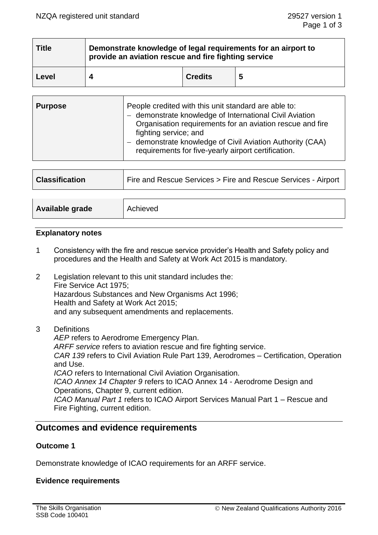| <b>Title</b> | Demonstrate knowledge of legal requirements for an airport to<br>provide an aviation rescue and fire fighting service |                |   |  |  |
|--------------|-----------------------------------------------------------------------------------------------------------------------|----------------|---|--|--|
| Level        |                                                                                                                       | <b>Credits</b> | 5 |  |  |

| <b>Purpose</b> | People credited with this unit standard are able to:<br>- demonstrate knowledge of International Civil Aviation<br>Organisation requirements for an aviation rescue and fire<br>fighting service; and<br>demonstrate knowledge of Civil Aviation Authority (CAA)<br>requirements for five-yearly airport certification. |
|----------------|-------------------------------------------------------------------------------------------------------------------------------------------------------------------------------------------------------------------------------------------------------------------------------------------------------------------------|
|----------------|-------------------------------------------------------------------------------------------------------------------------------------------------------------------------------------------------------------------------------------------------------------------------------------------------------------------------|

| <b>Classification</b> | Fire and Rescue Services > Fire and Rescue Services - Airport |  |
|-----------------------|---------------------------------------------------------------|--|
|                       |                                                               |  |
| Available grade       | Achieved                                                      |  |

## **Explanatory notes**

- 1 Consistency with the fire and rescue service provider's Health and Safety policy and procedures and the Health and Safety at Work Act 2015 is mandatory.
- 2 Legislation relevant to this unit standard includes the: Fire Service Act 1975; Hazardous Substances and New Organisms Act 1996; Health and Safety at Work Act 2015; and any subsequent amendments and replacements.
- 3 Definitions

*AEP* refers to Aerodrome Emergency Plan. *ARFF service* refers to aviation rescue and fire fighting service. *CAR 139* refers to Civil Aviation Rule Part 139, Aerodromes – Certification, Operation and Use. *ICAO* refers to International Civil Aviation Organisation. *ICAO Annex 14 Chapter 9* refers to ICAO Annex 14 - Aerodrome Design and Operations, Chapter 9, current edition. *ICAO Manual Part 1* refers to ICAO Airport Services Manual Part 1 – Rescue and Fire Fighting, current edition.

# **Outcomes and evidence requirements**

# **Outcome 1**

Demonstrate knowledge of ICAO requirements for an ARFF service.

# **Evidence requirements**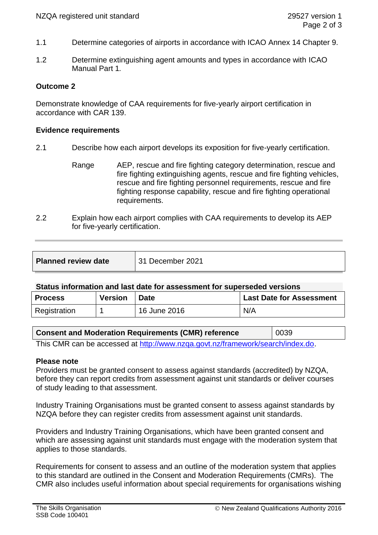- 1.1 Determine categories of airports in accordance with ICAO Annex 14 Chapter 9.
- 1.2 Determine extinguishing agent amounts and types in accordance with ICAO Manual Part 1*.*

# **Outcome 2**

Demonstrate knowledge of CAA requirements for five-yearly airport certification in accordance with CAR 139.

## **Evidence requirements**

- 2.1 Describe how each airport develops its exposition for five-yearly certification.
	- Range AEP, rescue and fire fighting category determination, rescue and fire fighting extinguishing agents, rescue and fire fighting vehicles, rescue and fire fighting personnel requirements, rescue and fire fighting response capability, rescue and fire fighting operational requirements.
- 2.2 Explain how each airport complies with CAA requirements to develop its AEP for five-yearly certification.

| <b>Planned review date</b> | 31 December 2021 |
|----------------------------|------------------|
|                            |                  |

### **Status information and last date for assessment for superseded versions**

| <b>Process</b> | <b>Version</b> | <sup>1</sup> Date | Last Date for Assessment |
|----------------|----------------|-------------------|--------------------------|
| Registration   |                | 16 June 2016      | N/A                      |

### **Consent and Moderation Requirements (CMR) reference** | 0039

This CMR can be accessed at [http://www.nzqa.govt.nz/framework/search/index.do.](http://www.nzqa.govt.nz/framework/search/index.do)

### **Please note**

Providers must be granted consent to assess against standards (accredited) by NZQA, before they can report credits from assessment against unit standards or deliver courses of study leading to that assessment.

Industry Training Organisations must be granted consent to assess against standards by NZQA before they can register credits from assessment against unit standards.

Providers and Industry Training Organisations, which have been granted consent and which are assessing against unit standards must engage with the moderation system that applies to those standards.

Requirements for consent to assess and an outline of the moderation system that applies to this standard are outlined in the Consent and Moderation Requirements (CMRs). The CMR also includes useful information about special requirements for organisations wishing